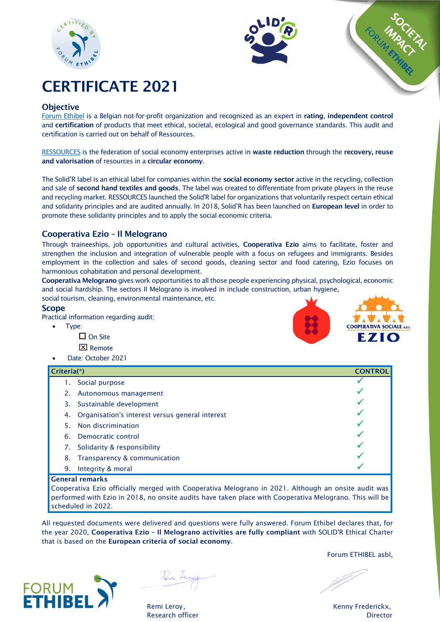





# CERTIFICATE 2021

# **Objective**

[Forum Ethibel](http://www.forumethibel.org/content/home.html?lang=en) is a Belgian not-for-profit organization and recognized as an expert in rating, independent control and certification of products that meet ethical, societal, ecological and good governance standards. This audit and certification is carried out on behalf of Ressources.

[RESSOURCES](https://www.res-sources.be/) is the federation of social economy enterprises active in waste reduction through the recovery, reuse and valorisation of resources in a circular economy.

The Solid'R label is an ethical label for companies within the social economy sector active in the recycling, collection and sale of second hand textiles and goods. The label was created to differentiate from private players in the reuse and recycling market. RESSOURCES launched the Solid'R label for organizations that voluntarily respect certain ethical and solidarity principles and are audited annually. In 2018, Solid'R has been launched on European level in order to promote these solidarity principles and to apply the social economic criteria.

# Cooperativa Ezio – Il Melograno

Through traineeships, job opportunities and cultural activities, Cooperativa Ezio aims to facilitate, foster and strengthen the inclusion and integration of vulnerable people with a focus on refugees and immigrants. Besides employment in the collection and sales of second goods, cleaning sector and food catering, Ezio focuses on harmonious cohabitation and personal development.

Cooperativa Melograno gives work opportunities to all those people experiencing physical, psychological, economic and social hardship. The sectors Il Melograno is involved in include construction, urban hygiene,

social tourism, cleaning, environmental maintenance, etc.

## Scope

Practical information regarding audit:

- Type:
	- $\square$  On Site
	- **区** Remote
- Date: October 2021

# Criteria(\*) CONTROL 1. Social purpose 2. Autonomous management 3. Sustainable development 4. Organisation's interest versus general interest 5. Non discrimination 6. Democratic control 7. Solidarity & responsibility 8. Transparency & communication 9. Integrity & moral

#### General remarks

Cooperativa Ezio officially merged with Cooperativa Melograno in 2021. Although an onsite audit was performed with Ezio in 2018, no onsite audits have taken place with Cooperativa Melograno. This will be scheduled in 2022.

All requested documents were delivered and questions were fully answered. Forum Ethibel declares that, for the year 2020, Cooperativa Ezio - Il Melograno activities are fully compliant with SOLID'R Ethical Charter that is based on the European criteria of social economy.



Pemi Leza

Forum ETHIBEL asbl,

Remi Leroy, The Communication of the Communication of the Kenny Frederickx, Research officer **Director** Director **Director**